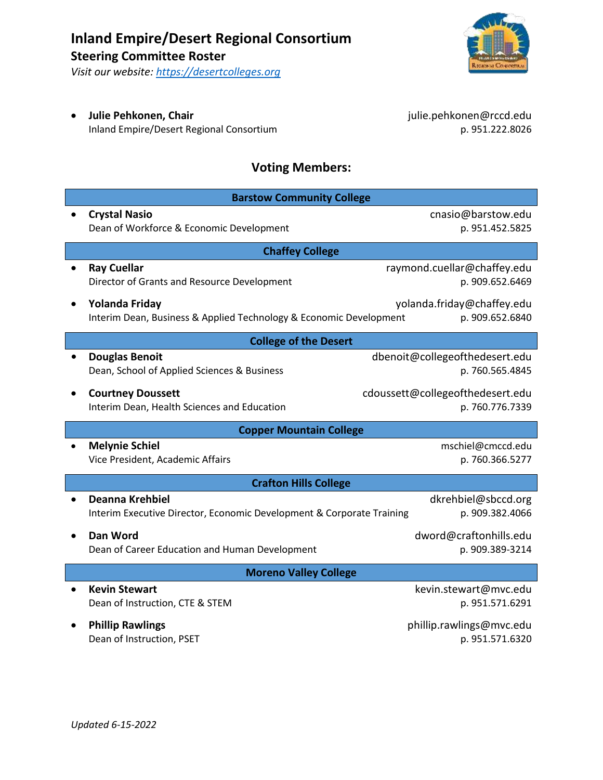*Visit our website: [https://desertcolleges.org](https://desertcolleges.org/)*

• **Julie Pehkonen, Chair** julie.pehkonen@rccd.edu Inland Empire/Desert Regional Consortium and the consortium p. 951.222.8026

## **Voting Members:**

| <b>Barstow Community College</b> |                                                                                                 |                                                     |  |  |
|----------------------------------|-------------------------------------------------------------------------------------------------|-----------------------------------------------------|--|--|
|                                  | <b>Crystal Nasio</b><br>Dean of Workforce & Economic Development                                | cnasio@barstow.edu<br>p. 951.452.5825               |  |  |
| <b>Chaffey College</b>           |                                                                                                 |                                                     |  |  |
|                                  | <b>Ray Cuellar</b><br>Director of Grants and Resource Development                               | raymond.cuellar@chaffey.edu<br>p. 909.652.6469      |  |  |
|                                  | Yolanda Friday<br>Interim Dean, Business & Applied Technology & Economic Development            | yolanda.friday@chaffey.edu<br>p. 909.652.6840       |  |  |
| <b>College of the Desert</b>     |                                                                                                 |                                                     |  |  |
|                                  | <b>Douglas Benoit</b><br>Dean, School of Applied Sciences & Business                            | dbenoit@collegeofthedesert.edu<br>p. 760.565.4845   |  |  |
|                                  | <b>Courtney Doussett</b><br>Interim Dean, Health Sciences and Education                         | cdoussett@collegeofthedesert.edu<br>p. 760.776.7339 |  |  |
|                                  | <b>Copper Mountain College</b>                                                                  |                                                     |  |  |
|                                  |                                                                                                 |                                                     |  |  |
|                                  | <b>Melynie Schiel</b><br>Vice President, Academic Affairs                                       | mschiel@cmccd.edu<br>p. 760.366.5277                |  |  |
|                                  | <b>Crafton Hills College</b>                                                                    |                                                     |  |  |
|                                  | <b>Deanna Krehbiel</b><br>Interim Executive Director, Economic Development & Corporate Training | dkrehbiel@sbccd.org<br>p. 909.382.4066              |  |  |
|                                  | <b>Dan Word</b><br>Dean of Career Education and Human Development                               | dword@craftonhills.edu<br>p. 909.389-3214           |  |  |
|                                  | <b>Moreno Valley College</b>                                                                    |                                                     |  |  |
|                                  | <b>Kevin Stewart</b><br>Dean of Instruction, CTE & STEM                                         | kevin.stewart@mvc.edu<br>p. 951.571.6291            |  |  |